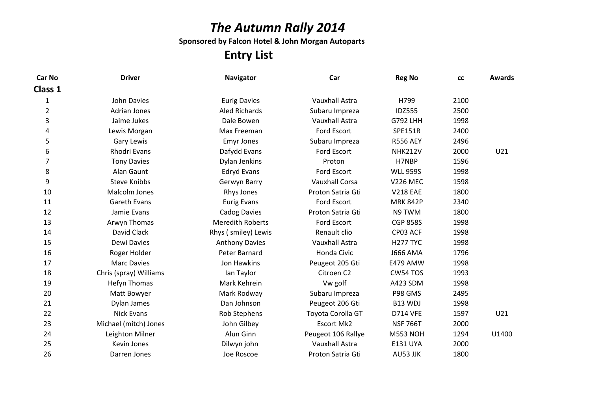# The Autumn Rally 2014

Sponsored by Falcon Hotel & John Morgan Autoparts

### Entry List

| <b>Driver</b>          | <b>Navigator</b>        | Car                   | <b>Reg No</b>   | cc   | <b>Awards</b> |
|------------------------|-------------------------|-----------------------|-----------------|------|---------------|
|                        |                         |                       |                 |      |               |
| <b>John Davies</b>     | <b>Eurig Davies</b>     | Vauxhall Astra        | H799            | 2100 |               |
| <b>Adrian Jones</b>    | <b>Aled Richards</b>    | Subaru Impreza        | <b>IDZ555</b>   | 2500 |               |
| Jaime Jukes            | Dale Bowen              | <b>Vauxhall Astra</b> | <b>G792 LHH</b> | 1998 |               |
| Lewis Morgan           | Max Freeman             | Ford Escort           | <b>SPE151R</b>  | 2400 |               |
| Gary Lewis             | <b>Emyr Jones</b>       | Subaru Impreza        | <b>R556 AEY</b> | 2496 |               |
| <b>Rhodri Evans</b>    | Dafydd Evans            | Ford Escort           | <b>NHK212V</b>  | 2000 | U21           |
| <b>Tony Davies</b>     | Dylan Jenkins           | Proton                | H7NBP           | 1596 |               |
| Alan Gaunt             | <b>Edryd Evans</b>      | Ford Escort           | <b>WLL 959S</b> | 1998 |               |
| <b>Steve Knibbs</b>    | Gerwyn Barry            | <b>Vauxhall Corsa</b> | <b>V226 MEC</b> | 1598 |               |
| Malcolm Jones          | Rhys Jones              | Proton Satria Gti     | <b>V218 EAE</b> | 1800 |               |
| <b>Gareth Evans</b>    | <b>Eurig Evans</b>      | <b>Ford Escort</b>    | <b>MRK 842P</b> | 2340 |               |
| Jamie Evans            | <b>Cadog Davies</b>     | Proton Satria Gti     | N9 TWM          | 1800 |               |
| Arwyn Thomas           | <b>Meredith Roberts</b> | Ford Escort           | <b>CGP 858S</b> | 1998 |               |
| David Clack            | Rhys (smiley) Lewis     | Renault clio          | CP03 ACF        | 1998 |               |
| Dewi Davies            | <b>Anthony Davies</b>   | Vauxhall Astra        | <b>H277 TYC</b> | 1998 |               |
| Roger Holder           | Peter Barnard           | Honda Civic           | <b>J666 AMA</b> | 1796 |               |
| <b>Marc Davies</b>     | Jon Hawkins             | Peugeot 205 Gti       | <b>E479 AMW</b> | 1998 |               |
| Chris (spray) Williams | Ian Taylor              | Citroen C2            | CW54 TOS        | 1993 |               |
| <b>Hefyn Thomas</b>    | Mark Kehrein            | Vw golf               | A423 SDM        | 1998 |               |
| Matt Bowyer            | Mark Rodway             | Subaru Impreza        | P98 GMS         | 2495 |               |
| Dylan James            | Dan Johnson             | Peugeot 206 Gti       | B13 WDJ         | 1998 |               |
| <b>Nick Evans</b>      | Rob Stephens            | Toyota Corolla GT     | <b>D714 VFE</b> | 1597 | U21           |
| Michael (mitch) Jones  | John Gilbey             | <b>Escort Mk2</b>     | <b>NSF 766T</b> | 2000 |               |
| Leighton Milner        | Alun Ginn               | Peugeot 106 Rallye    | <b>M553 NOH</b> | 1294 | U1400         |
| Kevin Jones            | Dilwyn john             | Vauxhall Astra        | <b>E131 UYA</b> | 2000 |               |
| Darren Jones           | Joe Roscoe              | Proton Satria Gti     | AU53 JJK        | 1800 |               |
|                        |                         |                       |                 |      |               |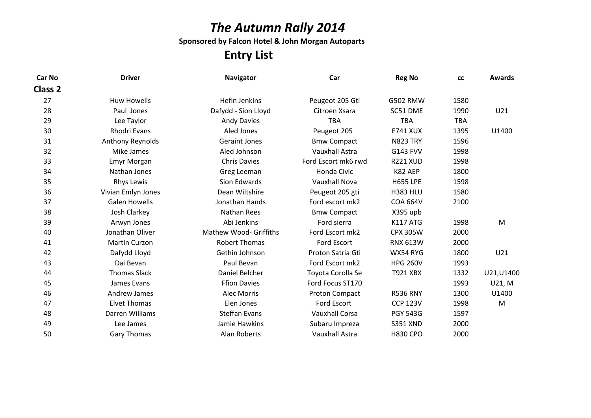# The Autumn Rally 2014

Sponsored by Falcon Hotel & John Morgan Autoparts

### Entry List

| <b>Car No</b>  | <b>Driver</b>        | <b>Navigator</b>       | Car                   | <b>Reg No</b>   | <b>CC</b>  | <b>Awards</b> |
|----------------|----------------------|------------------------|-----------------------|-----------------|------------|---------------|
| <b>Class 2</b> |                      |                        |                       |                 |            |               |
| 27             | <b>Huw Howells</b>   | <b>Hefin Jenkins</b>   | Peugeot 205 Gti       | <b>G502 RMW</b> | 1580       |               |
| 28             | Paul Jones           | Dafydd - Sion Lloyd    | Citroen Xsara         | SC51 DME        | 1990       | U21           |
| 29             | Lee Taylor           | <b>Andy Davies</b>     | <b>TBA</b>            | <b>TBA</b>      | <b>TBA</b> |               |
| 30             | <b>Rhodri Evans</b>  | Aled Jones             | Peugeot 205           | <b>E741 XUX</b> | 1395       | U1400         |
| 31             | Anthony Reynolds     | <b>Geraint Jones</b>   | <b>Bmw Compact</b>    | <b>N823 TRY</b> | 1596       |               |
| 32             | Mike James           | Aled Johnson           | Vauxhall Astra        | <b>G143 FVV</b> | 1998       |               |
| 33             | <b>Emyr Morgan</b>   | <b>Chris Davies</b>    | Ford Escort mk6 rwd   | <b>R221 XUD</b> | 1998       |               |
| 34             | Nathan Jones         | Greg Leeman            | Honda Civic           | K82 AEP         | 1800       |               |
| 35             | Rhys Lewis           | Sion Edwards           | <b>Vauxhall Nova</b>  | <b>H655 LPE</b> | 1598       |               |
| 36             | Vivian Emlyn Jones   | Dean Wiltshire         | Peugeot 205 gti       | <b>H383 HLU</b> | 1580       |               |
| 37             | <b>Galen Howells</b> | Jonathan Hands         | Ford escort mk2       | <b>COA 664V</b> | 2100       |               |
| 38             | <b>Josh Clarkey</b>  | <b>Nathan Rees</b>     | <b>Bmw Compact</b>    | X395 upb        |            |               |
| 39             | Arwyn Jones          | Abi Jenkins            | Ford sierra           | <b>K117 ATG</b> | 1998       | M             |
| 40             | Jonathan Oliver      | Mathew Wood- Griffiths | Ford Escort mk2       | <b>CPX 305W</b> | 2000       |               |
| 41             | <b>Martin Curzon</b> | <b>Robert Thomas</b>   | Ford Escort           | <b>RNX 613W</b> | 2000       |               |
| 42             | Dafydd Lloyd         | Gethin Johnson         | Proton Satria Gti     | WX54 RYG        | 1800       | U21           |
| 43             | Dai Bevan            | Paul Bevan             | Ford Escort mk2       | <b>HPG 260V</b> | 1993       |               |
| 44             | <b>Thomas Slack</b>  | Daniel Belcher         | Toyota Corolla Se     | <b>T921 XBX</b> | 1332       | U21, U1400    |
| 45             | James Evans          | <b>Ffion Davies</b>    | Ford Focus ST170      |                 | 1993       | U21, M        |
| 46             | <b>Andrew James</b>  | <b>Alec Morris</b>     | Proton Compact        | <b>R536 RNY</b> | 1300       | U1400         |
| 47             | <b>Elvet Thomas</b>  | Elen Jones             | Ford Escort           | <b>CCP 123V</b> | 1998       | M             |
| 48             | Darren Williams      | <b>Steffan Evans</b>   | <b>Vauxhall Corsa</b> | <b>PGY 543G</b> | 1597       |               |
| 49             | Lee James            | Jamie Hawkins          | Subaru Impreza        | <b>S351 XND</b> | 2000       |               |
| 50             | <b>Gary Thomas</b>   | Alan Roberts           | Vauxhall Astra        | <b>H830 CPO</b> | 2000       |               |
|                |                      |                        |                       |                 |            |               |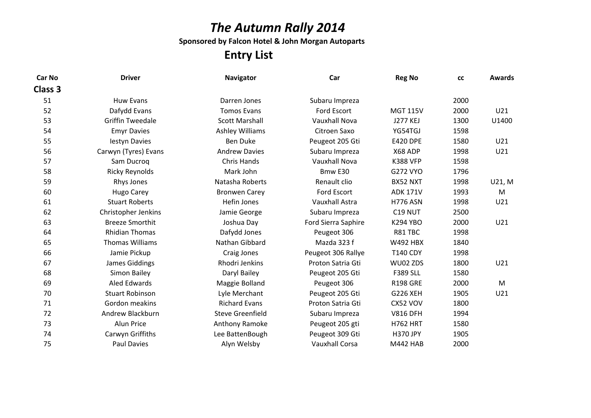# The Autumn Rally 2014

Sponsored by Falcon Hotel & John Morgan Autoparts

### Entry List

| <b>Driver</b>           | <b>Navigator</b>        | Car                   | <b>Reg No</b>   | <b>CC</b> | <b>Awards</b> |
|-------------------------|-------------------------|-----------------------|-----------------|-----------|---------------|
|                         |                         |                       |                 |           |               |
| <b>Huw Evans</b>        | Darren Jones            | Subaru Impreza        |                 | 2000      |               |
| Dafydd Evans            | <b>Tomos Evans</b>      | Ford Escort           | <b>MGT 115V</b> | 2000      | U21           |
| <b>Griffin Tweedale</b> | <b>Scott Marshall</b>   | <b>Vauxhall Nova</b>  | <b>J277 KEJ</b> | 1300      | U1400         |
| <b>Emyr Davies</b>      | <b>Ashley Williams</b>  | Citroen Saxo          | YG54TGJ         | 1598      |               |
| lestyn Davies           | <b>Ben Duke</b>         | Peugeot 205 Gti       | <b>E420 DPE</b> | 1580      | U21           |
| Carwyn (Tyres) Evans    | <b>Andrew Davies</b>    | Subaru Impreza        | X68 ADP         | 1998      | U21           |
| Sam Ducroq              | Chris Hands             | <b>Vauxhall Nova</b>  | <b>K388 VFP</b> | 1598      |               |
| <b>Ricky Reynolds</b>   | Mark John               | Bmw E30               | G272 VYO        | 1796      |               |
| Rhys Jones              | Natasha Roberts         | Renault clio          | BX52 NXT        | 1998      | U21, M        |
| <b>Hugo Carey</b>       | <b>Bronwen Carey</b>    | Ford Escort           | <b>ADK 171V</b> | 1993      | M             |
| <b>Stuart Roberts</b>   | Hefin Jones             | Vauxhall Astra        | <b>H776 ASN</b> | 1998      | U21           |
| Christopher Jenkins     | Jamie George            | Subaru Impreza        | C19 NUT         | 2500      |               |
| <b>Breeze Smorthit</b>  | Joshua Day              | Ford Sierra Saphire   | <b>K294 YBO</b> | 2000      | U21           |
| <b>Rhidian Thomas</b>   | Dafydd Jones            | Peugeot 306           | R81 TBC         | 1998      |               |
| <b>Thomas Williams</b>  | Nathan Gibbard          | Mazda 323 f           | <b>W492 HBX</b> | 1840      |               |
| Jamie Pickup            | Craig Jones             | Peugeot 306 Rallye    | <b>T140 CDY</b> | 1998      |               |
| James Giddings          | Rhodri Jenkins          | Proton Satria Gti     | WU02 ZDS        | 1800      | U21           |
| Simon Bailey            | Daryl Bailey            | Peugeot 205 Gti       | <b>F389 SLL</b> | 1580      |               |
| <b>Aled Edwards</b>     | Maggie Bolland          | Peugeot 306           | <b>R198 GRE</b> | 2000      | M             |
| <b>Stuart Robinson</b>  | Lyle Merchant           | Peugeot 205 Gti       | <b>G226 XEH</b> | 1905      | U21           |
| Gordon meakins          | <b>Richard Evans</b>    | Proton Satria Gti     | CX52 VOV        | 1800      |               |
| Andrew Blackburn        | <b>Steve Greenfield</b> | Subaru Impreza        | <b>V816 DFH</b> | 1994      |               |
| Alun Price              | Anthony Ramoke          | Peugeot 205 gti       | <b>H762 HRT</b> | 1580      |               |
| Carwyn Griffiths        | Lee BattenBough         | Peugeot 309 Gti       | <b>H370 JPY</b> | 1905      |               |
| <b>Paul Davies</b>      | Alyn Welsby             | <b>Vauxhall Corsa</b> | <b>M442 HAB</b> | 2000      |               |
|                         |                         |                       |                 |           |               |